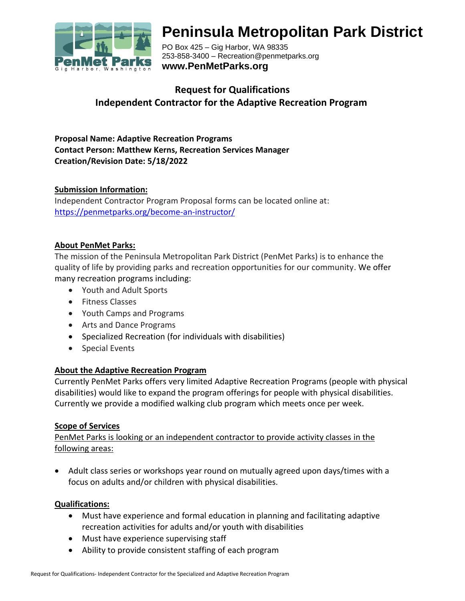

# **Peninsula Metropolitan Park District**

PO Box 425 – Gig Harbor, WA 98335 253-858-3400 – Recreation@penmetparks.org **www.PenMetParks.org**

# **Request for Qualifications Independent Contractor for the Adaptive Recreation Program**

**Proposal Name: Adaptive Recreation Programs Contact Person: Matthew Kerns, Recreation Services Manager Creation/Revision Date: 5/18/2022**

## **Submission Information:**

Independent Contractor Program Proposal forms can be located online at: <https://penmetparks.org/become-an-instructor/>

#### **About PenMet Parks:**

The mission of the Peninsula Metropolitan Park District (PenMet Parks) is to enhance the quality of life by providing parks and recreation opportunities for our community. We offer many recreation programs including:

- Youth and Adult Sports
- Fitness Classes
- Youth Camps and Programs
- Arts and Dance Programs
- Specialized Recreation (for individuals with disabilities)
- Special Events

#### **About the Adaptive Recreation Program**

Currently PenMet Parks offers very limited Adaptive Recreation Programs (people with physical disabilities) would like to expand the program offerings for people with physical disabilities. Currently we provide a modified walking club program which meets once per week.

#### **Scope of Services**

PenMet Parks is looking or an independent contractor to provide activity classes in the following areas:

• Adult class series or workshops year round on mutually agreed upon days/times with a focus on adults and/or children with physical disabilities.

#### **Qualifications:**

- Must have experience and formal education in planning and facilitating adaptive recreation activities for adults and/or youth with disabilities
- Must have experience supervising staff
- Ability to provide consistent staffing of each program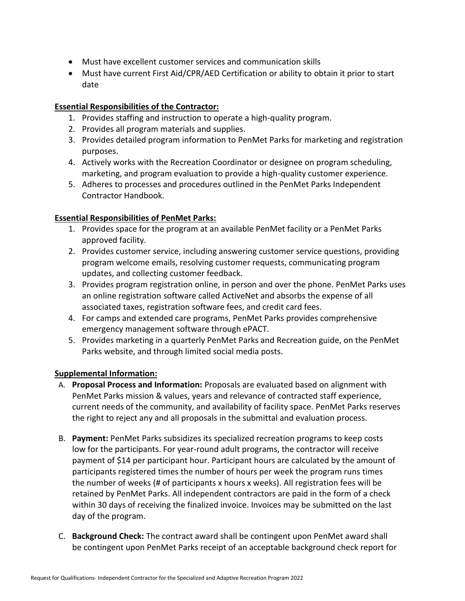- Must have excellent customer services and communication skills
- Must have current First Aid/CPR/AED Certification or ability to obtain it prior to start date

#### **Essential Responsibilities of the Contractor:**

- 1. Provides staffing and instruction to operate a high-quality program.
- 2. Provides all program materials and supplies.
- 3. Provides detailed program information to PenMet Parks for marketing and registration purposes.
- 4. Actively works with the Recreation Coordinator or designee on program scheduling, marketing, and program evaluation to provide a high-quality customer experience.
- 5. Adheres to processes and procedures outlined in the PenMet Parks Independent Contractor Handbook.

## **Essential Responsibilities of PenMet Parks:**

- 1. Provides space for the program at an available PenMet facility or a PenMet Parks approved facility.
- 2. Provides customer service, including answering customer service questions, providing program welcome emails, resolving customer requests, communicating program updates, and collecting customer feedback.
- 3. Provides program registration online, in person and over the phone. PenMet Parks uses an online registration software called ActiveNet and absorbs the expense of all associated taxes, registration software fees, and credit card fees.
- 4. For camps and extended care programs, PenMet Parks provides comprehensive emergency management software through ePACT.
- 5. Provides marketing in a quarterly PenMet Parks and Recreation guide, on the PenMet Parks website, and through limited social media posts.

# **Supplemental Information:**

- A. **Proposal Process and Information:** Proposals are evaluated based on alignment with PenMet Parks mission & values, years and relevance of contracted staff experience, current needs of the community, and availability of facility space. PenMet Parks reserves the right to reject any and all proposals in the submittal and evaluation process.
- B. **Payment:** PenMet Parks subsidizes its specialized recreation programs to keep costs low for the participants. For year-round adult programs, the contractor will receive payment of \$14 per participant hour. Participant hours are calculated by the amount of participants registered times the number of hours per week the program runs times the number of weeks (# of participants x hours x weeks). All registration fees will be retained by PenMet Parks. All independent contractors are paid in the form of a check within 30 days of receiving the finalized invoice. Invoices may be submitted on the last day of the program.
- C. **Background Check:** The contract award shall be contingent upon PenMet award shall be contingent upon PenMet Parks receipt of an acceptable background check report for